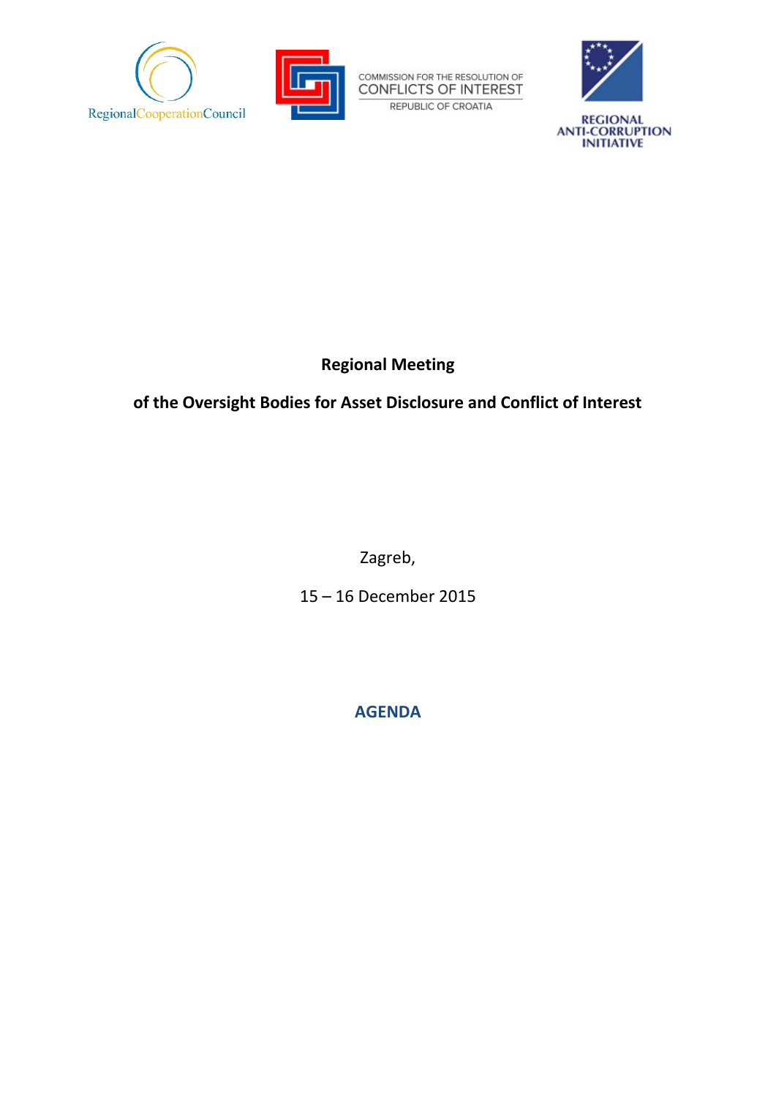



COMMISSION FOR THE RESOLUTION OF CONFLICTS OF INTEREST REPUBLIC OF CROATIA



## **Regional Meeting**

## **of the Oversight Bodies for Asset Disclosure and Conflict of Interest**

Zagreb,

15 – 16 December 2015

**AGENDA**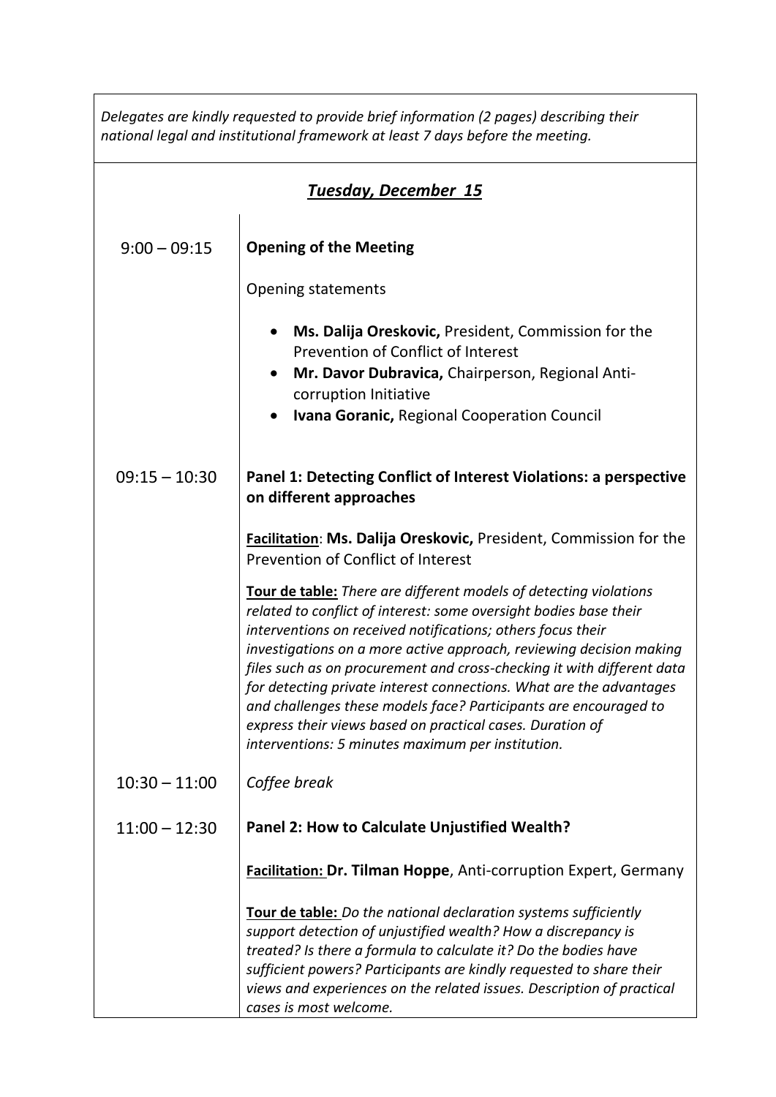*Delegates are kindly requested to provide brief information (2 pages) describing their national legal and institutional framework at least 7 days before the meeting.*

| <b>Tuesday, December 15</b> |                                                                                                                                                                                                                                                                                                                                                                                                                                                                                                                                                                                                                            |  |
|-----------------------------|----------------------------------------------------------------------------------------------------------------------------------------------------------------------------------------------------------------------------------------------------------------------------------------------------------------------------------------------------------------------------------------------------------------------------------------------------------------------------------------------------------------------------------------------------------------------------------------------------------------------------|--|
| $9:00 - 09:15$              | <b>Opening of the Meeting</b>                                                                                                                                                                                                                                                                                                                                                                                                                                                                                                                                                                                              |  |
|                             | <b>Opening statements</b>                                                                                                                                                                                                                                                                                                                                                                                                                                                                                                                                                                                                  |  |
|                             | Ms. Dalija Oreskovic, President, Commission for the<br>Prevention of Conflict of Interest                                                                                                                                                                                                                                                                                                                                                                                                                                                                                                                                  |  |
|                             | Mr. Davor Dubravica, Chairperson, Regional Anti-<br>corruption Initiative                                                                                                                                                                                                                                                                                                                                                                                                                                                                                                                                                  |  |
|                             | <b>Ivana Goranic, Regional Cooperation Council</b>                                                                                                                                                                                                                                                                                                                                                                                                                                                                                                                                                                         |  |
| $09:15 - 10:30$             | Panel 1: Detecting Conflict of Interest Violations: a perspective<br>on different approaches                                                                                                                                                                                                                                                                                                                                                                                                                                                                                                                               |  |
|                             | <b>Facilitation: Ms. Dalija Oreskovic, President, Commission for the</b><br>Prevention of Conflict of Interest                                                                                                                                                                                                                                                                                                                                                                                                                                                                                                             |  |
|                             | <b>Tour de table:</b> There are different models of detecting violations<br>related to conflict of interest: some oversight bodies base their<br>interventions on received notifications; others focus their<br>investigations on a more active approach, reviewing decision making<br>files such as on procurement and cross-checking it with different data<br>for detecting private interest connections. What are the advantages<br>and challenges these models face? Participants are encouraged to<br>express their views based on practical cases. Duration of<br>interventions: 5 minutes maximum per institution. |  |
| $10:30 - 11:00$             | Coffee break                                                                                                                                                                                                                                                                                                                                                                                                                                                                                                                                                                                                               |  |
| $11:00 - 12:30$             | Panel 2: How to Calculate Unjustified Wealth?                                                                                                                                                                                                                                                                                                                                                                                                                                                                                                                                                                              |  |
|                             | <b>Facilitation: Dr. Tilman Hoppe, Anti-corruption Expert, Germany</b>                                                                                                                                                                                                                                                                                                                                                                                                                                                                                                                                                     |  |
|                             | <b>Tour de table:</b> Do the national declaration systems sufficiently<br>support detection of unjustified wealth? How a discrepancy is                                                                                                                                                                                                                                                                                                                                                                                                                                                                                    |  |
|                             | treated? Is there a formula to calculate it? Do the bodies have<br>sufficient powers? Participants are kindly requested to share their                                                                                                                                                                                                                                                                                                                                                                                                                                                                                     |  |
|                             | views and experiences on the related issues. Description of practical<br>cases is most welcome.                                                                                                                                                                                                                                                                                                                                                                                                                                                                                                                            |  |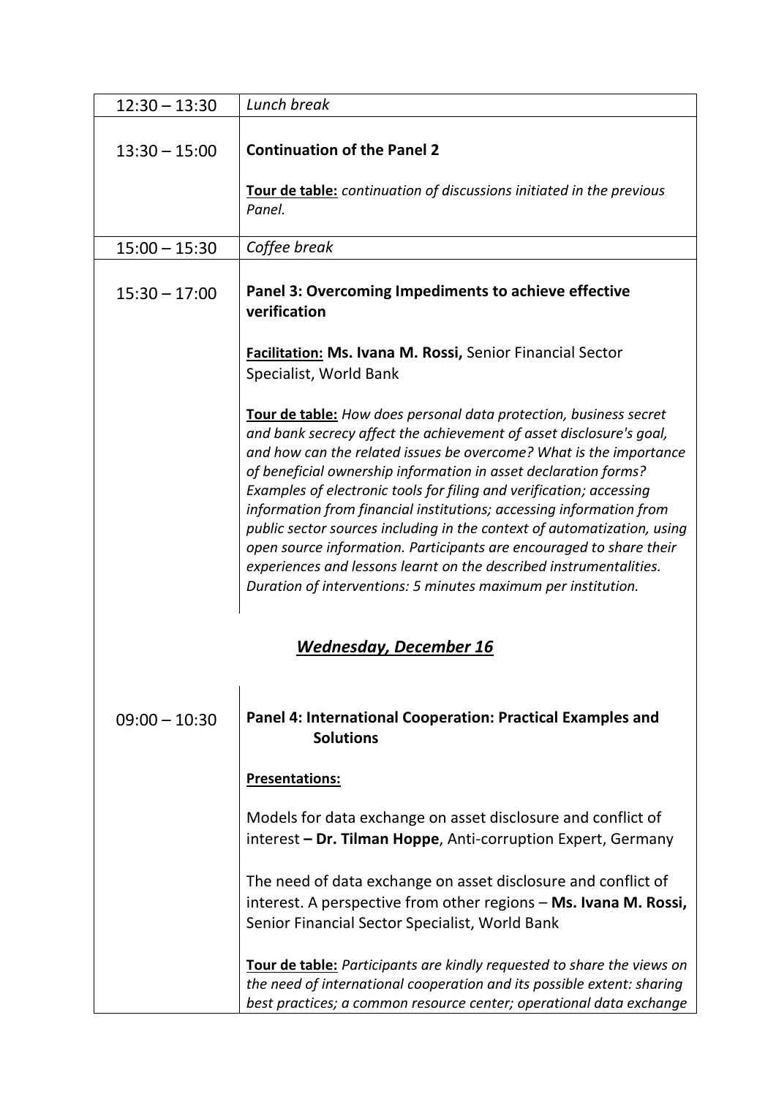| $12:30 - 13:30$               | Lunch break                                                                                                                                                                                                                                                                                                                                                                                                                                                                                                                                                                                                                                                                                                              |  |
|-------------------------------|--------------------------------------------------------------------------------------------------------------------------------------------------------------------------------------------------------------------------------------------------------------------------------------------------------------------------------------------------------------------------------------------------------------------------------------------------------------------------------------------------------------------------------------------------------------------------------------------------------------------------------------------------------------------------------------------------------------------------|--|
| $13:30 - 15:00$               | <b>Continuation of the Panel 2</b>                                                                                                                                                                                                                                                                                                                                                                                                                                                                                                                                                                                                                                                                                       |  |
|                               | <b>Tour de table:</b> continuation of discussions initiated in the previous<br>Panel.                                                                                                                                                                                                                                                                                                                                                                                                                                                                                                                                                                                                                                    |  |
| $15:00 - 15:30$               | Coffee break                                                                                                                                                                                                                                                                                                                                                                                                                                                                                                                                                                                                                                                                                                             |  |
| $15:30 - 17:00$               | Panel 3: Overcoming Impediments to achieve effective<br>verification                                                                                                                                                                                                                                                                                                                                                                                                                                                                                                                                                                                                                                                     |  |
|                               | <b>Facilitation: Ms. Ivana M. Rossi, Senior Financial Sector</b><br>Specialist, World Bank                                                                                                                                                                                                                                                                                                                                                                                                                                                                                                                                                                                                                               |  |
|                               | Tour de table: How does personal data protection, business secret<br>and bank secrecy affect the achievement of asset disclosure's goal,<br>and how can the related issues be overcome? What is the importance<br>of beneficial ownership information in asset declaration forms?<br>Examples of electronic tools for filing and verification; accessing<br>information from financial institutions; accessing information from<br>public sector sources including in the context of automatization, using<br>open source information. Participants are encouraged to share their<br>experiences and lessons learnt on the described instrumentalities.<br>Duration of interventions: 5 minutes maximum per institution. |  |
| <b>Wednesday, December 16</b> |                                                                                                                                                                                                                                                                                                                                                                                                                                                                                                                                                                                                                                                                                                                          |  |
| $09:00 - 10:30$               | Panel 4: International Cooperation: Practical Examples and<br><b>Solutions</b>                                                                                                                                                                                                                                                                                                                                                                                                                                                                                                                                                                                                                                           |  |
|                               | <b>Presentations:</b>                                                                                                                                                                                                                                                                                                                                                                                                                                                                                                                                                                                                                                                                                                    |  |
|                               | Models for data exchange on asset disclosure and conflict of<br>interest - Dr. Tilman Hoppe, Anti-corruption Expert, Germany                                                                                                                                                                                                                                                                                                                                                                                                                                                                                                                                                                                             |  |
|                               | The need of data exchange on asset disclosure and conflict of<br>interest. A perspective from other regions - Ms. Ivana M. Rossi,<br>Senior Financial Sector Specialist, World Bank                                                                                                                                                                                                                                                                                                                                                                                                                                                                                                                                      |  |
|                               | <b>Tour de table:</b> Participants are kindly requested to share the views on<br>the need of international cooperation and its possible extent: sharing<br>best practices; a common resource center; operational data exchange                                                                                                                                                                                                                                                                                                                                                                                                                                                                                           |  |